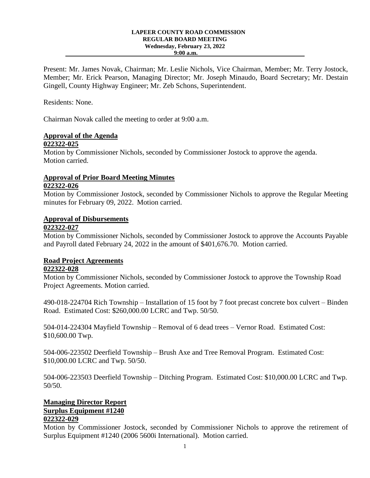#### **LAPEER COUNTY ROAD COMMISSION REGULAR BOARD MEETING Wednesday, February 23, 2022 9:00 a.m.**

Present: Mr. James Novak, Chairman; Mr. Leslie Nichols, Vice Chairman, Member; Mr. Terry Jostock, Member; Mr. Erick Pearson, Managing Director; Mr. Joseph Minaudo, Board Secretary; Mr. Destain Gingell, County Highway Engineer; Mr. Zeb Schons, Superintendent.

Residents: None.

Chairman Novak called the meeting to order at 9:00 a.m.

# **Approval of the Agenda**

#### **022322-025**

Motion by Commissioner Nichols, seconded by Commissioner Jostock to approve the agenda. Motion carried.

# **Approval of Prior Board Meeting Minutes**

# **022322-026**

Motion by Commissioner Jostock, seconded by Commissioner Nichols to approve the Regular Meeting minutes for February 09, 2022. Motion carried.

# **Approval of Disbursements**

# **022322-027**

Motion by Commissioner Nichols, seconded by Commissioner Jostock to approve the Accounts Payable and Payroll dated February 24, 2022 in the amount of \$401,676.70. Motion carried.

# **Road Project Agreements**

# **022322-028**

Motion by Commissioner Nichols, seconded by Commissioner Jostock to approve the Township Road Project Agreements. Motion carried.

490-018-224704 Rich Township – Installation of 15 foot by 7 foot precast concrete box culvert – Binden Road. Estimated Cost: \$260,000.00 LCRC and Twp. 50/50.

504-014-224304 Mayfield Township – Removal of 6 dead trees – Vernor Road. Estimated Cost: \$10,600.00 Twp.

504-006-223502 Deerfield Township – Brush Axe and Tree Removal Program. Estimated Cost: \$10,000.00 LCRC and Twp. 50/50.

504-006-223503 Deerfield Township – Ditching Program. Estimated Cost: \$10,000.00 LCRC and Twp. 50/50.

# **Managing Director Report Surplus Equipment #1240**

# **022322-029**

Motion by Commissioner Jostock, seconded by Commissioner Nichols to approve the retirement of Surplus Equipment #1240 (2006 5600i International). Motion carried.